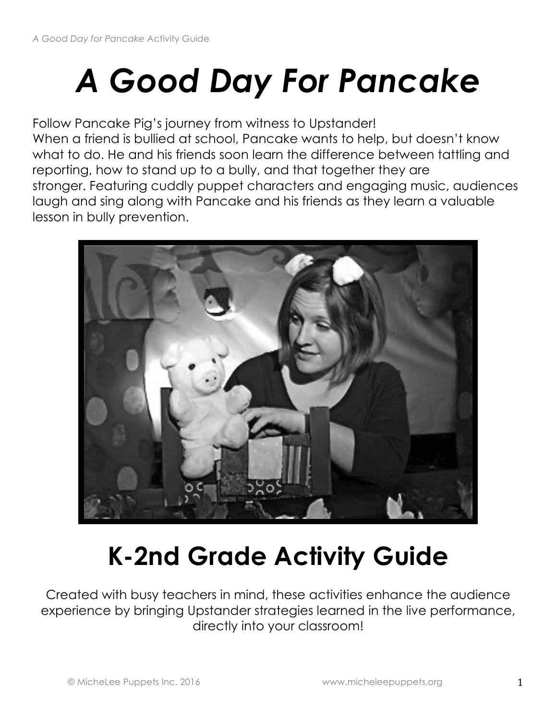# *A Good Day For Pancake*

Follow Pancake Pig's journey from witness to Upstander! When a friend is bullied at school, Pancake wants to help, but doesn't know what to do. He and his friends soon learn the difference between tattling and reporting, how to stand up to a bully, and that together they are stronger. Featuring cuddly puppet characters and engaging music, audiences laugh and sing along with Pancake and his friends as they learn a valuable lesson in bully prevention.



## **K-2nd Grade Activity Guide**

Created with busy teachers in mind, these activities enhance the audience experience by bringing Upstander strategies learned in the live performance, directly into your classroom!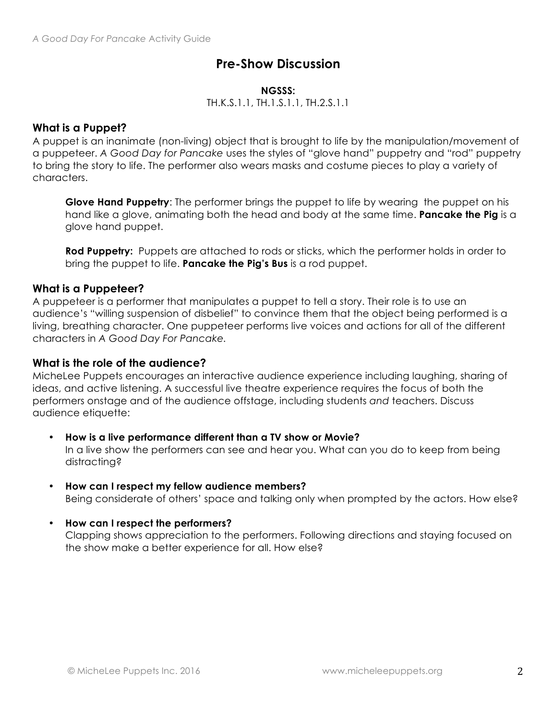## **Pre-Show Discussion**

#### **NGSSS:**

TH.K.S.1.1, TH.1.S.1.1, TH.2.S.1.1

## **What is a Puppet?**

A puppet is an inanimate (non-living) object that is brought to life by the manipulation/movement of a puppeteer. *A Good Day for Pancake* uses the styles of "glove hand" puppetry and "rod" puppetry to bring the story to life. The performer also wears masks and costume pieces to play a variety of characters.

**Glove Hand Puppetry**: The performer brings the puppet to life by wearing the puppet on his hand like a glove, animating both the head and body at the same time. **Pancake the Pig** is a glove hand puppet.

**Rod Puppetry:** Puppets are attached to rods or sticks, which the performer holds in order to bring the puppet to life. **Pancake the Pig's Bus** is a rod puppet.

## **What is a Puppeteer?**

A puppeteer is a performer that manipulates a puppet to tell a story. Their role is to use an audience's "willing suspension of disbelief" to convince them that the object being performed is a living, breathing character. One puppeteer performs live voices and actions for all of the different characters in *A Good Day For Pancake.*

## **What is the role of the audience?**

MicheLee Puppets encourages an interactive audience experience including laughing, sharing of ideas, and active listening. A successful live theatre experience requires the focus of both the performers onstage and of the audience offstage, including students *and* teachers. Discuss audience etiquette:

- **How is a live performance different than a TV show or Movie?** In a live show the performers can see and hear you. What can you do to keep from being distracting?
- **How can I respect my fellow audience members?**  Being considerate of others' space and talking only when prompted by the actors. How else?
- **How can I respect the performers?**

Clapping shows appreciation to the performers. Following directions and staying focused on the show make a better experience for all. How else?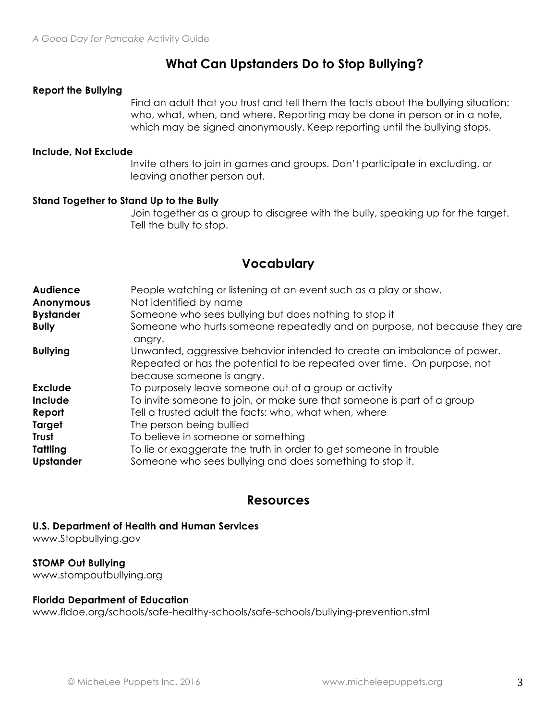## **What Can Upstanders Do to Stop Bullying?**

#### **Report the Bullying**

Find an adult that you trust and tell them the facts about the bullying situation: who, what, when, and where. Reporting may be done in person or in a note, which may be signed anonymously. Keep reporting until the bullying stops.

#### **Include, Not Exclude**

Invite others to join in games and groups. Don't participate in excluding, or leaving another person out.

#### **Stand Together to Stand Up to the Bully**

Join together as a group to disagree with the bully, speaking up for the target. Tell the bully to stop.

## **Vocabulary**

| <b>Audience</b><br><b>Anonymous</b><br><b>Bystander</b><br><b>Bully</b> | People watching or listening at an event such as a play or show.<br>Not identified by name<br>Someone who sees bullying but does nothing to stop it<br>Someone who hurts someone repeatedly and on purpose, not because they are<br>angry. |
|-------------------------------------------------------------------------|--------------------------------------------------------------------------------------------------------------------------------------------------------------------------------------------------------------------------------------------|
| <b>Bullying</b>                                                         | Unwanted, aggressive behavior intended to create an imbalance of power.<br>Repeated or has the potential to be repeated over time. On purpose, not<br>because someone is angry.                                                            |
| <b>Exclude</b>                                                          | To purposely leave someone out of a group or activity                                                                                                                                                                                      |
| Include                                                                 | To invite someone to join, or make sure that someone is part of a group                                                                                                                                                                    |
| Report                                                                  | Tell a trusted adult the facts: who, what when, where                                                                                                                                                                                      |
| Target                                                                  | The person being bullied                                                                                                                                                                                                                   |
| Trust                                                                   | To believe in someone or something                                                                                                                                                                                                         |
| Tattling<br><b>Upstander</b>                                            | To lie or exaggerate the truth in order to get someone in trouble<br>Someone who sees bullying and does something to stop it.                                                                                                              |

## **Resources**

**U.S. Department of Health and Human Services**

www.Stopbullying.gov

#### **STOMP Out Bullying**

www.stompoutbullying.org

#### **Florida Department of Education**

www.fldoe.org/schools/safe-healthy-schools/safe-schools/bullying-prevention.stml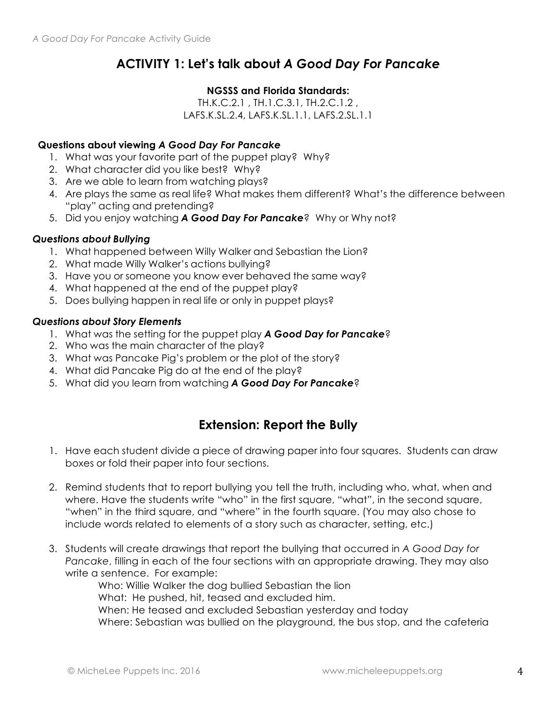## **ACTIVITY 1: Let's talk about** *A Good Day For Pancake*

## **NGSSS and Florida Standards:**

TH.K.C.2.1 , TH.1.C.3.1, TH.2.C.1.2 , LAFS.K.SL.2.4, LAFS.K.SL.1.1, LAFS.2.SL.1.1

## **Questions about viewing** *A Good Day For Pancake*

- 1. What was your favorite part of the puppet play? Why?
- 2. What character did you like best? Why?
- 3. Are we able to learn from watching plays?
- 4. Are plays the same as real life? What makes them different? What's the difference between "play" acting and pretending?
- 5. Did you enjoy watching *A Good Day For Pancake*? Why or Why not?

## *Questions about Bullying*

- 1. What happened between Willy Walker and Sebastian the Lion?
- 2. What made Willy Walker's actions bullying?
- 3. Have you or someone you know ever behaved the same way?
- 4. What happened at the end of the puppet play?
- 5. Does bullying happen in real life or only in puppet plays?

## *Questions about Story Elements*

- 1. What was the setting for the puppet play *A Good Day for Pancake*?
- 2. Who was the main character of the play?
- 3. What was Pancake Pig's problem or the plot of the story?
- 4. What did Pancake Pig do at the end of the play?
- 5. What did you learn from watching *A Good Day For Pancake*?

## **Extension: Report the Bully**

- 1. Have each student divide a piece of drawing paper into four squares. Students can draw boxes or fold their paper into four sections.
- 2. Remind students that to report bullying you tell the truth, including who, what, when and where. Have the students write "who" in the first square, "what", in the second square, "when" in the third square, and "where" in the fourth square. (You may also chose to include words related to elements of a story such as character, setting, etc.)
- 3. Students will create drawings that report the bullying that occurred in *A Good Day for Pancake*, filling in each of the four sections with an appropriate drawing. They may also write a sentence. For example:

Who: Willie Walker the dog bullied Sebastian the lion What: He pushed, hit, teased and excluded him. When: He teased and excluded Sebastian yesterday and today Where: Sebastian was bullied on the playground, the bus stop, and the cafeteria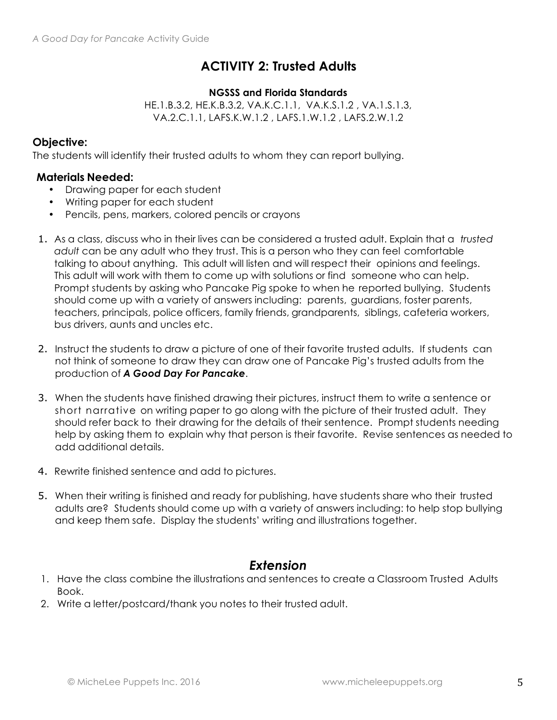## **ACTIVITY 2: Trusted Adults**

#### **NGSSS and Florida Standards**

HE.1.B.3.2, HE.K.B.3.2, VA.K.C.1.1, VA.K.S.1.2 , VA.1.S.1.3, VA.2.C.1.1, LAFS.K.W.1.2 , LAFS.1.W.1.2 , LAFS.2.W.1.2

## **Objective:**

The students will identify their trusted adults to whom they can report bullying.

## **Materials Needed:**

- Drawing paper for each student
- Writing paper for each student
- Pencils, pens, markers, colored pencils or crayons
- 1. As a class, discuss who in their lives can be considered a trusted adult. Explain that a *trusted adult* can be any adult who they trust. This is a person who they can feel comfortable talking to about anything. This adult will listen and will respect their opinions and feelings. This adult will work with them to come up with solutions or find someone who can help. Prompt students by asking who Pancake Pig spoke to when he reported bullying. Students should come up with a variety of answers including: parents, guardians, foster parents, teachers, principals, police officers, family friends, grandparents, siblings, cafeteria workers, bus drivers, aunts and uncles etc.
- 2. Instruct the students to draw a picture of one of their favorite trusted adults. If students can not think of someone to draw they can draw one of Pancake Pig's trusted adults from the production of *A Good Day For Pancake*.
- 3. When the students have finished drawing their pictures, instruct them to write a sentence or short narrative on writing paper to go along with the picture of their trusted adult. They should refer back to their drawing for the details of their sentence. Prompt students needing help by asking them to explain why that person is their favorite. Revise sentences as needed to add additional details.
- 4. Rewrite finished sentence and add to pictures.
- 5. When their writing is finished and ready for publishing, have students share who their trusted adults are? Students should come up with a variety of answers including: to help stop bullying and keep them safe. Display the students' writing and illustrations together.

## *Extension*

- 1. Have the class combine the illustrations and sentences to create a Classroom Trusted Adults Book.
- 2. Write a letter/postcard/thank you notes to their trusted adult.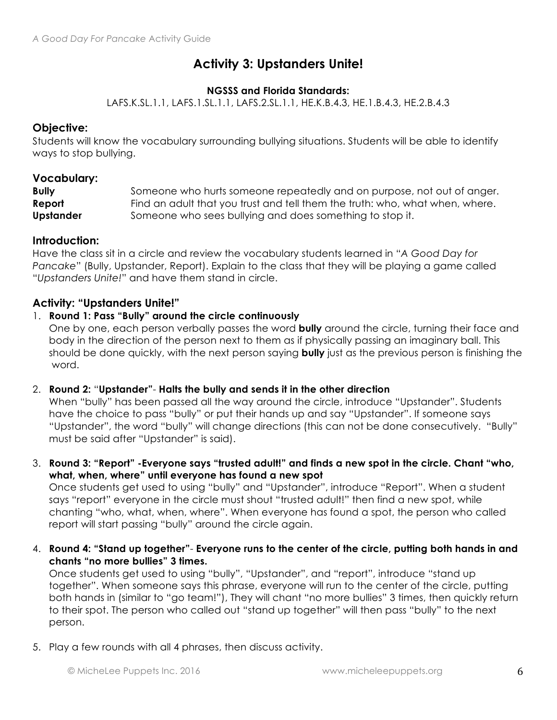## **Activity 3: Upstanders Unite!**

## **NGSSS and Florida Standards:**

LAFS.K.SL.1.1, LAFS.1.SL.1.1, LAFS.2.SL.1.1, HE.K.B.4.3, HE.1.B.4.3, HE.2.B.4.3

## **Objective:**

Students will know the vocabulary surrounding bullying situations. Students will be able to identify ways to stop bullying.

## **Vocabulary:**

| <b>Bully</b>     | Someone who hurts someone repeatedly and on purpose, not out of anger.       |
|------------------|------------------------------------------------------------------------------|
| Report           | Find an adult that you trust and tell them the truth: who, what when, where. |
| <b>Upstander</b> | Someone who sees bullying and does something to stop it.                     |

## **Introduction:**

Have the class sit in a circle and review the vocabulary students learned in "*A Good Day for Pancake*" (Bully, Upstander, Report). Explain to the class that they will be playing a game called "*Upstanders Unite!*" and have them stand in circle.

## **Activity: "Upstanders Unite!"**

#### 1. **Round 1: Pass "Bully" around the circle continuously**

One by one, each person verbally passes the word **bully** around the circle, turning their face and body in the direction of the person next to them as if physically passing an imaginary ball. This should be done quickly, with the next person saying **bully** just as the previous person is finishing the word.

## 2. **Round 2:** "**Upstander"**- **Halts the bully and sends it in the other direction**

When "bully" has been passed all the way around the circle, introduce "Upstander". Students have the choice to pass "bully" or put their hands up and say "Upstander". If someone says "Upstander", the word "bully" will change directions (this can not be done consecutively. "Bully" must be said after "Upstander" is said).

3. **Round 3: "Report" -Everyone says "trusted adult!" and finds a new spot in the circle. Chant "who, what, when, where" until everyone has found a new spot**

Once students get used to using "bully" and "Upstander", introduce "Report". When a student says "report" everyone in the circle must shout "trusted adult!" then find a new spot, while chanting "who, what, when, where". When everyone has found a spot, the person who called report will start passing "bully" around the circle again.

4. **Round 4: "Stand up together"**- **Everyone runs to the center of the circle, putting both hands in and chants "no more bullies" 3 times.**

Once students get used to using "bully", "Upstander", and "report", introduce "stand up together". When someone says this phrase, everyone will run to the center of the circle, putting both hands in (similar to "go team!"), They will chant "no more bullies" 3 times, then quickly return to their spot. The person who called out "stand up together" will then pass "bully" to the next person.

5. Play a few rounds with all 4 phrases, then discuss activity.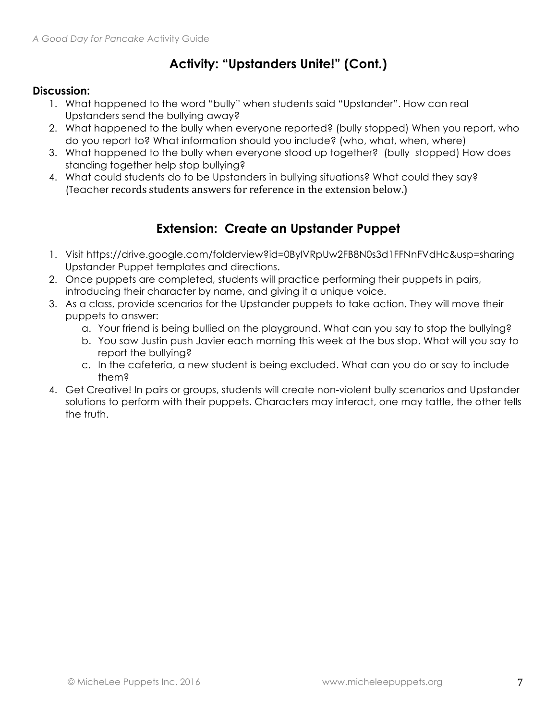## **Activity: "Upstanders Unite!" (Cont.)**

## **Discussion:**

- 1. What happened to the word "bully" when students said "Upstander". How can real Upstanders send the bullying away?
- 2. What happened to the bully when everyone reported? (bully stopped) When you report, who do you report to? What information should you include? (who, what, when, where)
- 3. What happened to the bully when everyone stood up together? (bully stopped) How does standing together help stop bullying?
- 4. What could students do to be Upstanders in bullying situations? What could they say? (Teacher records students answers for reference in the extension below.)

## **Extension: Create an Upstander Puppet**

- 1. Visit https://drive.google.com/folderview?id=0BylVRpUw2FB8N0s3d1FFNnFVdHc&usp=sharing Upstander Puppet templates and directions.
- 2. Once puppets are completed, students will practice performing their puppets in pairs, introducing their character by name, and giving it a unique voice.
- 3. As a class, provide scenarios for the Upstander puppets to take action. They will move their puppets to answer:
	- a. Your friend is being bullied on the playground. What can you say to stop the bullying?
	- b. You saw Justin push Javier each morning this week at the bus stop. What will you say to report the bullying?
	- c. In the cafeteria, a new student is being excluded. What can you do or say to include them?
- 4. Get Creative! In pairs or groups, students will create non-violent bully scenarios and Upstander solutions to perform with their puppets. Characters may interact, one may tattle, the other tells the truth.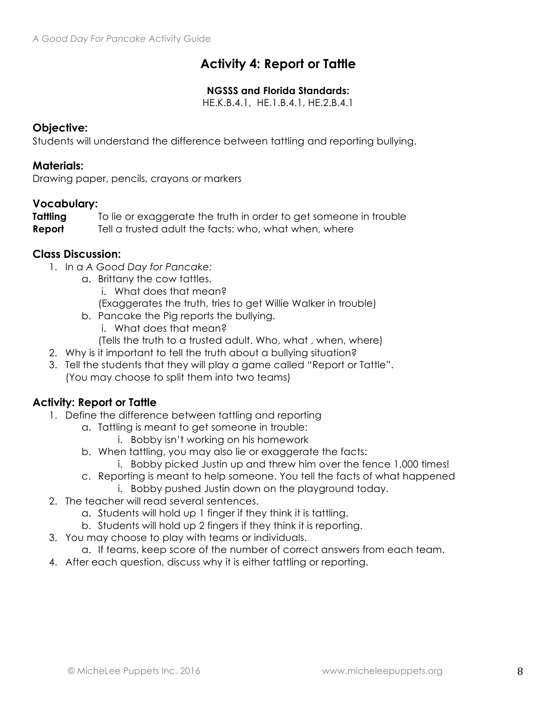## **Activity 4: Report or Tattle**

## **NGSSS and Florida Standards:**

HE.K.B.4.1, HE.1.B.4.1, HE.2.B.4.1

## **Objective:**

Students will understand the difference between tattling and reporting bullying.

## **Materials:**

Drawing paper, pencils, crayons or markers

## **Vocabulary:**

**Tattling** To lie or exaggerate the truth in order to get someone in trouble **Report** Tell a trusted adult the facts: who, what when, where

## **Class Discussion:**

- 1. In a *A Good Day for Pancake:*
	- a. Brittany the cow tattles.
		- i. What does that mean?
		- (Exaggerates the truth, tries to get Willie Walker in trouble)
	- b. Pancake the Pig reports the bullying.
		- i. What does that mean?
		- (Tells the truth to a trusted adult. Who, what , when, where)
- 2. Why is it important to tell the truth about a bullying situation?
- 3. Tell the students that they will play a game called "Report or Tattle". (You may choose to split them into two teams)

## **Activity: Report or Tattle**

- 1. Define the difference between tattling and reporting
	- a. Tattling is meant to get someone in trouble:
		- i. Bobby isn't working on his homework
	- b. When tattling, you may also lie or exaggerate the facts:
		- i. Bobby picked Justin up and threw him over the fence 1,000 times!
	- c. Reporting is meant to help someone. You tell the facts of what happened
		- i. Bobby pushed Justin down on the playground today.
- 2. The teacher will read several sentences.
	- a. Students will hold up 1 finger if they think it is tattling.
	- b. Students will hold up 2 fingers if they think it is reporting.
- 3. You may choose to play with teams or individuals.
	- a. If teams, keep score of the number of correct answers from each team.
- 4. After each question, discuss why it is either tattling or reporting.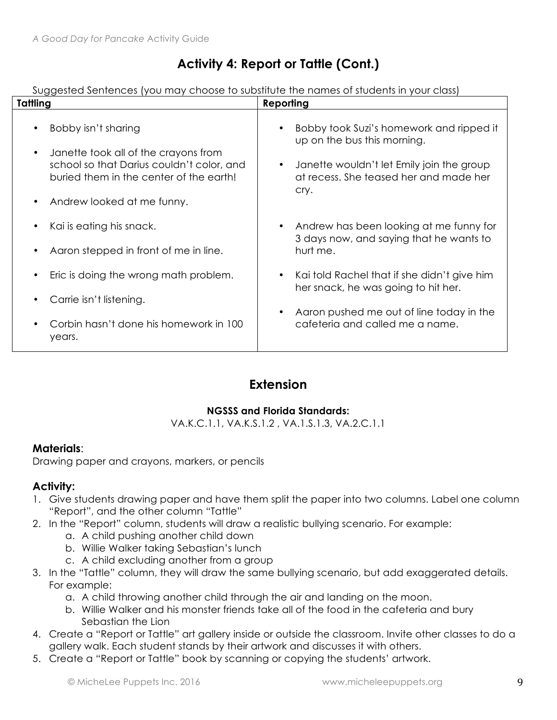## **Activity 4: Report or Tattle (Cont.)**

Suggested Sentences (you may choose to substitute the names of students in your class)

| Tattling                                                                                                                                                                                       | Reporting                                                                                                                                                                                   |  |
|------------------------------------------------------------------------------------------------------------------------------------------------------------------------------------------------|---------------------------------------------------------------------------------------------------------------------------------------------------------------------------------------------|--|
| Bobby isn't sharing<br>Janette took all of the crayons from<br>$\bullet$<br>school so that Darius couldn't color, and<br>buried them in the center of the earth!<br>Andrew looked at me funny. | Bobby took Suzi's homework and ripped it<br>up on the bus this morning.<br>Janette wouldn't let Emily join the group<br>$\bullet$<br>at recess. She teased her and made her<br>cry.         |  |
| Kai is eating his snack.<br>$\bullet$<br>Aaron stepped in front of me in line.                                                                                                                 | Andrew has been looking at me funny for<br>$\bullet$<br>3 days now, and saying that he wants to<br>hurt me.                                                                                 |  |
| Eric is doing the wrong math problem.<br>Carrie isn't listening.<br>Corbin hasn't done his homework in 100<br>years.                                                                           | Kai told Rachel that if she didn't give him<br>$\bullet$<br>her snack, he was going to hit her.<br>Aaron pushed me out of line today in the<br>$\bullet$<br>cafeteria and called me a name. |  |

## **Extension**

## **NGSSS and Florida Standards:**

VA.K.C.1.1, VA.K.S.1.2 , VA.1.S.1.3, VA.2.C.1.1

## **Materials**:

Drawing paper and crayons, markers, or pencils

## **Activity:**

- 1. Give students drawing paper and have them split the paper into two columns. Label one column "Report", and the other column "Tattle"
- 2. In the "Report" column, students will draw a realistic bullying scenario. For example:
	- a. A child pushing another child down
	- b. Willie Walker taking Sebastian's lunch
	- c. A child excluding another from a group
- 3. In the "Tattle" column, they will draw the same bullying scenario, but add exaggerated details. For example:
	- a. A child throwing another child through the air and landing on the moon.
	- b. Willie Walker and his monster friends take all of the food in the cafeteria and bury Sebastian the Lion
- 4. Create a "Report or Tattle" art gallery inside or outside the classroom. Invite other classes to do a gallery walk. Each student stands by their artwork and discusses it with others.
- 5. Create a "Report or Tattle" book by scanning or copying the students' artwork.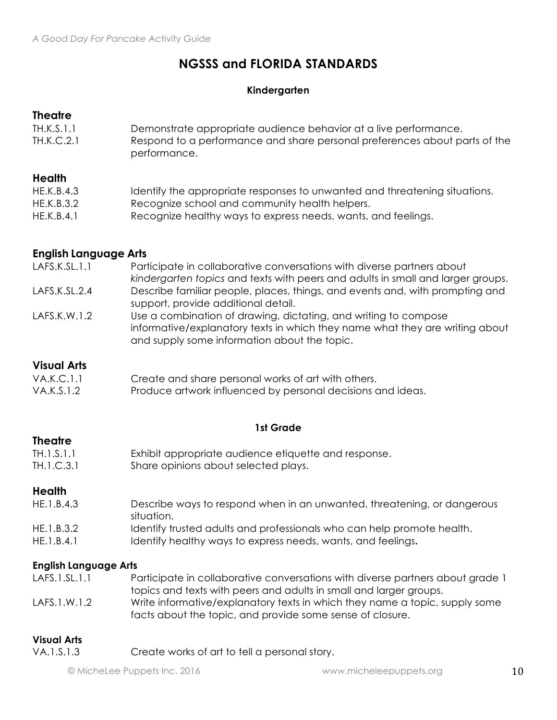## **NGSSS and FLORIDA STANDARDS**

## **Kindergarten**

## **Theatre**

TH.K.S.1.1 Demonstrate appropriate audience behavior at a live performance. TH.K.C.2.1 Respond to a performance and share personal preferences about parts of the performance.

## **Health**

| HE.K.B.4.3 | Identify the appropriate responses to unwanted and threatening situations. |
|------------|----------------------------------------------------------------------------|
| HE.K.B.3.2 | Recognize school and community health helpers.                             |
| HE.K.B.4.1 | Recognize healthy ways to express needs, wants, and feelings.              |

## **English Language Arts**

| LAFS.K.SL.1.1 | Participate in collaborative conversations with diverse partners about          |
|---------------|---------------------------------------------------------------------------------|
|               | kindergarten topics and texts with peers and adults in small and larger groups. |
| LAFS.K.SL.2.4 | Describe familiar people, places, things, and events and, with prompting and    |
|               | support, provide additional detail.                                             |
| LAFS.K.W.1.2  | Use a combination of drawing, dictating, and writing to compose                 |
|               | informative/explanatory texts in which they name what they are writing about    |
|               | and supply some information about the topic.                                    |
|               |                                                                                 |

## **Visual Arts**

| VA.K.C.1.1 | Create and share personal works of art with others.         |
|------------|-------------------------------------------------------------|
| VA.K.S.1.2 | Produce artwork influenced by personal decisions and ideas. |

## **1st Grade**

## **Theatre**

| TH.1.S.1.1 | Exhibit appropriate audience etiquette and response. |
|------------|------------------------------------------------------|
| TH.1.C.3.1 | Share opinions about selected plays.                 |

## **Health**

- HE.1.B.4.3 Describe ways to respond when in an unwanted, threatening, or dangerous situation. HE.1.B.3.2 Identify trusted adults and professionals who can help promote health.
- HE.1.B.4.1 Identify healthy ways to express needs, wants, and feelings.

## **English Language Arts**

- LAFS.1.SL.1.1 Participate in collaborative conversations with diverse partners about grade 1 topics and texts with peers and adults in small and larger groups.
- LAFS.1.W.1.2 Write informative/explanatory texts in which they name a topic, supply some facts about the topic, and provide some sense of closure.

### **Visual Arts**

VA.1.S.1.3 Create works of art to tell a personal story.